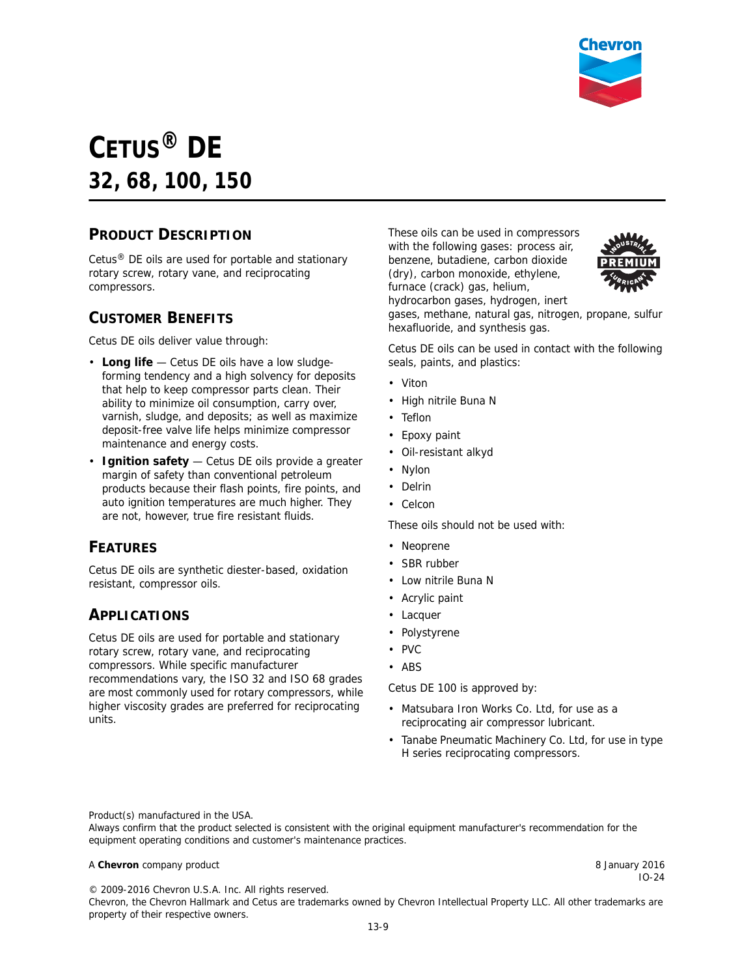

# **CETUS® DE 32, 68, 100, 150**

### **PRODUCT DESCRIPTION**

Cetus® DE oils are used for portable and stationary rotary screw, rotary vane, and reciprocating compressors.

#### **CUSTOMER BENEFITS**

Cetus DE oils deliver value through:

- **Long life**  Cetus DE oils have a low sludgeforming tendency and a high solvency for deposits that help to keep compressor parts clean. Their ability to minimize oil consumption, carry over, varnish, sludge, and deposits; as well as maximize deposit-free valve life helps minimize compressor maintenance and energy costs.
- **Ignition safety** Cetus DE oils provide a greater margin of safety than conventional petroleum products because their flash points, fire points, and auto ignition temperatures are much higher. They are not, however, true fire resistant fluids.

#### **FEATURES**

Cetus DE oils are synthetic diester-based, oxidation resistant, compressor oils.

#### **APPLICATIONS**

Cetus DE oils are used for portable and stationary rotary screw, rotary vane, and reciprocating compressors. While specific manufacturer recommendations vary, the ISO 32 and ISO 68 grades are most commonly used for rotary compressors, while higher viscosity grades are preferred for reciprocating units.

These oils can be used in compressors with the following gases: process air, benzene, butadiene, carbon dioxide (dry), carbon monoxide, ethylene, furnace (crack) gas, helium, hydrocarbon gases, hydrogen, inert



gases, methane, natural gas, nitrogen, propane, sulfur hexafluoride, and synthesis gas.

Cetus DE oils can be used in contact with the following seals, paints, and plastics:

- Viton
- High nitrile Buna N
- Teflon
- Epoxy paint
- Oil-resistant alkyd
- Nylon
- Delrin
- Celcon

These oils should not be used with:

- Neoprene
- SBR rubber
- Low nitrile Buna N
- Acrylic paint
- Lacquer
- Polystyrene
- PVC
- ABS

Cetus DE 100 is approved by:

- Matsubara Iron Works Co. Ltd, for use as a reciprocating air compressor lubricant.
- Tanabe Pneumatic Machinery Co. Ltd, for use in type H series reciprocating compressors.

Product(s) manufactured in the USA.

Always confirm that the product selected is consistent with the original equipment manufacturer's recommendation for the equipment operating conditions and customer's maintenance practices.

#### A **Chevron** company product **8 January 2016 8 January 2016**

IO-24

© 2009-2016 Chevron U.S.A. Inc. All rights reserved. Chevron, the Chevron Hallmark and Cetus are trademarks owned by Chevron Intellectual Property LLC. All other trademarks are property of their respective owners.